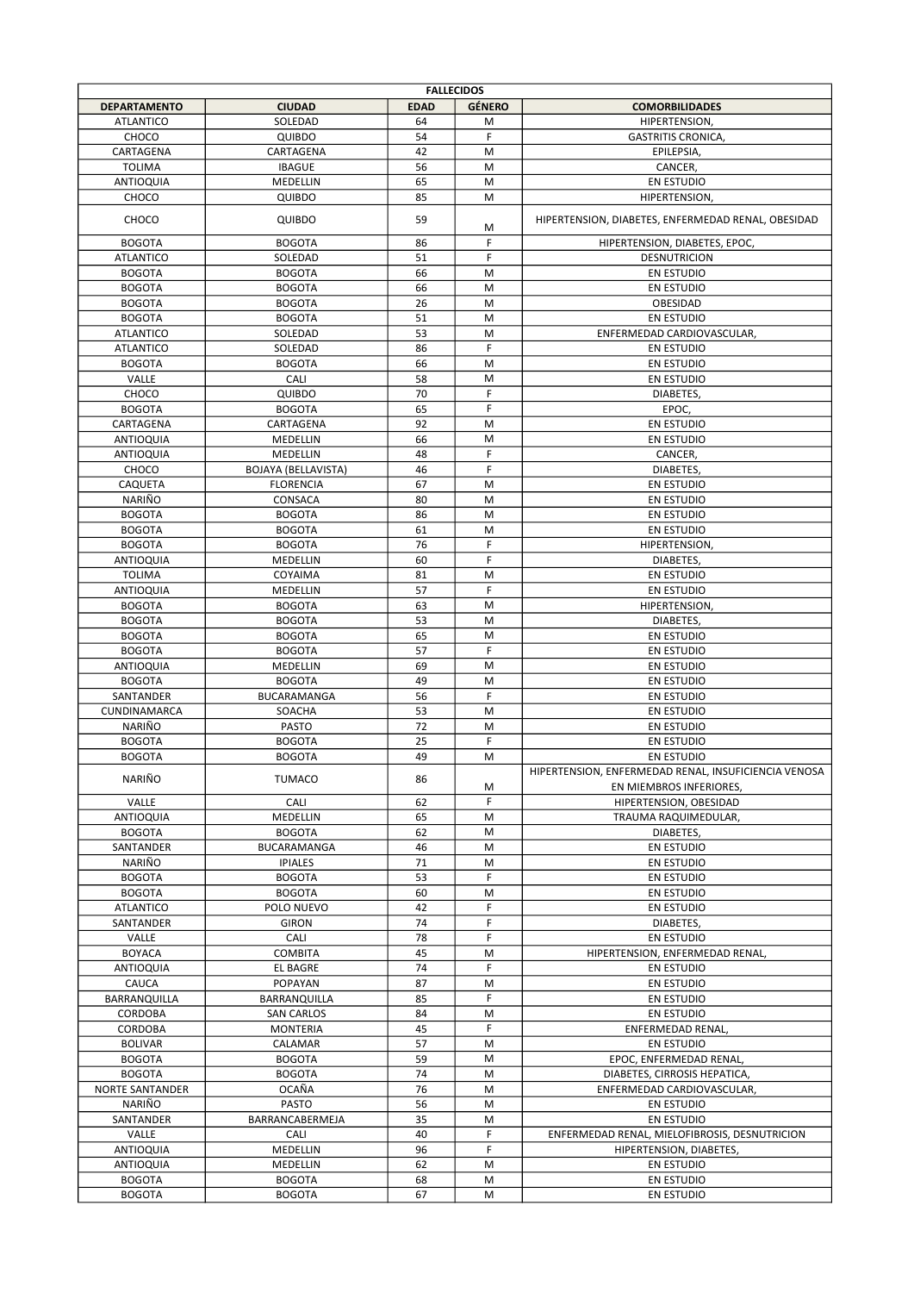| <b>FALLECIDOS</b>                 |                            |             |               |                                                                                 |  |
|-----------------------------------|----------------------------|-------------|---------------|---------------------------------------------------------------------------------|--|
| <b>DEPARTAMENTO</b>               | <b>CIUDAD</b>              | <b>EDAD</b> | <b>GÉNERO</b> | <b>COMORBILIDADES</b>                                                           |  |
| <b>ATLANTICO</b>                  | SOLEDAD                    | 64          | M             | HIPERTENSION,                                                                   |  |
| CHOCO                             | QUIBDO                     | 54          | F             | <b>GASTRITIS CRONICA.</b>                                                       |  |
| CARTAGENA                         | CARTAGENA                  | 42          | M             | EPILEPSIA,                                                                      |  |
| <b>TOLIMA</b>                     | <b>IBAGUE</b>              | 56          | M             | CANCER,                                                                         |  |
| ANTIOQUIA                         | MEDELLIN                   | 65          | M             | <b>EN ESTUDIO</b>                                                               |  |
| CHOCO                             | QUIBDO                     | 85          | M             | HIPERTENSION,                                                                   |  |
| CHOCO                             | QUIBDO                     | 59          | M             | HIPERTENSION, DIABETES, ENFERMEDAD RENAL, OBESIDAD                              |  |
| <b>BOGOTA</b>                     | <b>BOGOTA</b>              | 86          | F             | HIPERTENSION, DIABETES, EPOC,                                                   |  |
| <b>ATLANTICO</b>                  | SOLEDAD                    | 51          | F             | <b>DESNUTRICION</b>                                                             |  |
| <b>BOGOTA</b>                     | <b>BOGOTA</b>              | 66          | M             | <b>EN ESTUDIO</b>                                                               |  |
| <b>BOGOTA</b>                     | <b>BOGOTA</b>              | 66          | M             | <b>EN ESTUDIO</b>                                                               |  |
| <b>BOGOTA</b>                     | <b>BOGOTA</b>              | 26          | M             | OBESIDAD                                                                        |  |
| <b>BOGOTA</b>                     | <b>BOGOTA</b>              | 51          | M             | <b>EN ESTUDIO</b>                                                               |  |
| <b>ATLANTICO</b>                  | SOLEDAD                    | 53          | M             | ENFERMEDAD CARDIOVASCULAR,                                                      |  |
| <b>ATLANTICO</b>                  | SOLEDAD                    | 86          | F             | EN ESTUDIO                                                                      |  |
| <b>BOGOTA</b>                     | <b>BOGOTA</b>              | 66          | M             | <b>EN ESTUDIO</b>                                                               |  |
| VALLE                             | CALI                       | 58          | M             | EN ESTUDIO                                                                      |  |
| CHOCO                             | QUIBDO                     | 70          | F             | DIABETES,                                                                       |  |
| <b>BOGOTA</b>                     | <b>BOGOTA</b>              | 65          | F             | EPOC,                                                                           |  |
| CARTAGENA                         | CARTAGENA                  | 92          | M             | EN ESTUDIO                                                                      |  |
| <b>ANTIOQUIA</b>                  | <b>MEDELLIN</b>            | 66          | M             | <b>EN ESTUDIO</b>                                                               |  |
| <b>ANTIOQUIA</b>                  | MEDELLIN                   | 48          | F             | CANCER,                                                                         |  |
| CHOCO                             | <b>BOJAYA (BELLAVISTA)</b> | 46          | F             | DIABETES,                                                                       |  |
| CAQUETA                           | <b>FLORENCIA</b>           | 67          | M             | <b>EN ESTUDIO</b>                                                               |  |
| NARIÑO<br><b>BOGOTA</b>           | CONSACA                    | 80<br>86    | M<br>M        | EN ESTUDIO                                                                      |  |
|                                   | <b>BOGOTA</b>              | 61          | M             | EN ESTUDIO                                                                      |  |
| <b>BOGOTA</b>                     | <b>BOGOTA</b>              | 76          | F             | EN ESTUDIO                                                                      |  |
| <b>BOGOTA</b><br><b>ANTIOQUIA</b> | <b>BOGOTA</b><br>MEDELLIN  | 60          | F             | HIPERTENSION,<br>DIABETES,                                                      |  |
| <b>TOLIMA</b>                     | COYAIMA                    | 81          | M             | EN ESTUDIO                                                                      |  |
| ANTIOQUIA                         | MEDELLIN                   | 57          | F             | <b>EN ESTUDIO</b>                                                               |  |
| <b>BOGOTA</b>                     | <b>BOGOTA</b>              | 63          | M             | <b>HIPERTENSION,</b>                                                            |  |
| <b>BOGOTA</b>                     | <b>BOGOTA</b>              | 53          | M             | DIABETES,                                                                       |  |
| <b>BOGOTA</b>                     | <b>BOGOTA</b>              | 65          | M             | EN ESTUDIO                                                                      |  |
| <b>BOGOTA</b>                     | <b>BOGOTA</b>              | 57          | F             | <b>EN ESTUDIO</b>                                                               |  |
| <b>ANTIOQUIA</b>                  | MEDELLIN                   | 69          | M             | <b>EN ESTUDIO</b>                                                               |  |
| <b>BOGOTA</b>                     | <b>BOGOTA</b>              | 49          | M             | EN ESTUDIO                                                                      |  |
| SANTANDER                         | BUCARAMANGA                | 56          | F             | <b>EN ESTUDIO</b>                                                               |  |
| CUNDINAMARCA                      | SOACHA                     | 53          | M             | EN ESTUDIO                                                                      |  |
| NARIÑO                            | <b>PASTO</b>               | 72          | M             | <b>EN ESTUDIO</b>                                                               |  |
| <b>BOGOTA</b>                     | <b>BOGOTA</b>              | 25          | F             | EN ESTUDIO                                                                      |  |
| <b>BOGOTA</b>                     | <b>BOGOTA</b>              | 49          | M             | EN ESTUDIO                                                                      |  |
| NARIÑO                            | <b>TUMACO</b>              | 86          | M             | HIPERTENSION, ENFERMEDAD RENAL, INSUFICIENCIA VENOSA<br>EN MIEMBROS INFERIORES, |  |
| VALLE                             | CALI                       | 62          | F             | HIPERTENSION, OBESIDAD                                                          |  |
| ANTIOQUIA                         | MEDELLIN                   | 65          | M             | TRAUMA RAQUIMEDULAR,                                                            |  |
| <b>BOGOTA</b>                     | <b>BOGOTA</b>              | 62          | M             | DIABETES,                                                                       |  |
| SANTANDER                         | BUCARAMANGA                | 46          | M             | EN ESTUDIO                                                                      |  |
| NARIÑO                            | <b>IPIALES</b>             | 71          | M             | EN ESTUDIO                                                                      |  |
| <b>BOGOTA</b>                     | <b>BOGOTA</b>              | 53          | F             | EN ESTUDIO                                                                      |  |
| <b>BOGOTA</b>                     | <b>BOGOTA</b>              | 60          | M             | EN ESTUDIO                                                                      |  |
| <b>ATLANTICO</b>                  | POLO NUEVO                 | 42          | F             | EN ESTUDIO                                                                      |  |
| SANTANDER                         | <b>GIRON</b>               | 74          | F             | DIABETES,                                                                       |  |
| VALLE                             | CALI                       | 78          | F             | EN ESTUDIO                                                                      |  |
| <b>BOYACA</b>                     | <b>COMBITA</b>             | 45          | M             | HIPERTENSION, ENFERMEDAD RENAL,                                                 |  |
| <b>ANTIOQUIA</b>                  | EL BAGRE                   | 74          | F             | EN ESTUDIO                                                                      |  |
| CAUCA                             | POPAYAN                    | 87          | M             | EN ESTUDIO                                                                      |  |
| BARRANQUILLA                      | BARRANQUILLA               | 85          | F             | EN ESTUDIO                                                                      |  |
| CORDOBA                           | <b>SAN CARLOS</b>          | 84          | M             | EN ESTUDIO                                                                      |  |
| CORDOBA                           | <b>MONTERIA</b>            | 45          | F             | ENFERMEDAD RENAL,                                                               |  |
| <b>BOLIVAR</b>                    | CALAMAR                    | 57<br>59    | M<br>M        | EN ESTUDIO                                                                      |  |
| <b>BOGOTA</b><br><b>BOGOTA</b>    | <b>BOGOTA</b>              | 74          | M             | EPOC, ENFERMEDAD RENAL,<br>DIABETES, CIRROSIS HEPATICA,                         |  |
| NORTE SANTANDER                   | <b>BOGOTA</b><br>OCAÑA     | 76          | M             | ENFERMEDAD CARDIOVASCULAR,                                                      |  |
| NARIÑO                            | <b>PASTO</b>               | 56          | M             | EN ESTUDIO                                                                      |  |
| SANTANDER                         | BARRANCABERMEJA            | 35          | M             | EN ESTUDIO                                                                      |  |
| VALLE                             | CALI                       | 40          | F             | ENFERMEDAD RENAL, MIELOFIBROSIS, DESNUTRICION                                   |  |
| ANTIOQUIA                         | MEDELLIN                   | 96          | F             | HIPERTENSION, DIABETES,                                                         |  |
| <b>ANTIOQUIA</b>                  | MEDELLIN                   | 62          | M             | EN ESTUDIO                                                                      |  |
| <b>BOGOTA</b>                     | <b>BOGOTA</b>              | 68          | M             | EN ESTUDIO                                                                      |  |
| <b>BOGOTA</b>                     | <b>BOGOTA</b>              | 67          | М             | EN ESTUDIO                                                                      |  |
|                                   |                            |             |               |                                                                                 |  |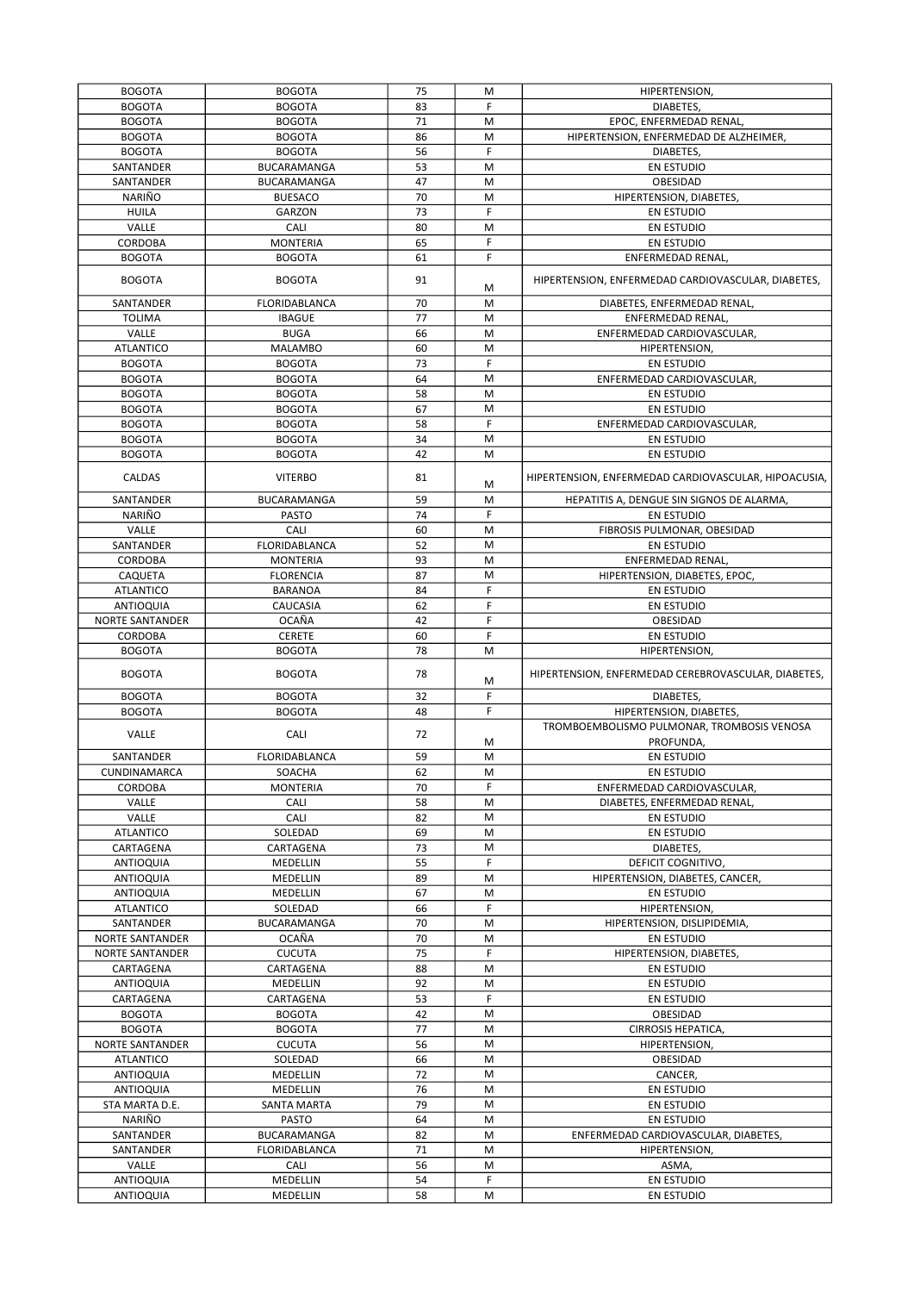| <b>BOGOTA</b>    | <b>BOGOTA</b>        | 75 | M         | HIPERTENSION,                                        |
|------------------|----------------------|----|-----------|------------------------------------------------------|
| <b>BOGOTA</b>    | <b>BOGOTA</b>        | 83 | F         | DIABETES.                                            |
| <b>BOGOTA</b>    | <b>BOGOTA</b>        | 71 | M         | EPOC, ENFERMEDAD RENAL,                              |
| <b>BOGOTA</b>    | <b>BOGOTA</b>        | 86 | M         | HIPERTENSION, ENFERMEDAD DE ALZHEIMER,               |
|                  |                      |    | F         |                                                      |
| <b>BOGOTA</b>    | <b>BOGOTA</b>        | 56 |           | DIABETES,                                            |
| SANTANDER        | BUCARAMANGA          | 53 | M         | EN ESTUDIO                                           |
| SANTANDER        | BUCARAMANGA          | 47 | M         | OBESIDAD                                             |
| NARIÑO           | <b>BUESACO</b>       | 70 | M         | HIPERTENSION, DIABETES,                              |
| <b>HUILA</b>     | GARZON               | 73 | F         | <b>EN ESTUDIO</b>                                    |
| VALLE            | CALI                 | 80 | M         | <b>EN ESTUDIO</b>                                    |
| CORDOBA          | <b>MONTERIA</b>      | 65 | F         | <b>EN ESTUDIO</b>                                    |
| <b>BOGOTA</b>    | <b>BOGOTA</b>        | 61 | F         | ENFERMEDAD RENAL,                                    |
|                  |                      |    |           |                                                      |
| <b>BOGOTA</b>    | <b>BOGOTA</b>        | 91 | M         | HIPERTENSION, ENFERMEDAD CARDIOVASCULAR, DIABETES,   |
| SANTANDER        | FLORIDABLANCA        | 70 | M         | DIABETES, ENFERMEDAD RENAL,                          |
|                  |                      | 77 |           |                                                      |
| <b>TOLIMA</b>    | <b>IBAGUE</b>        |    | M         | ENFERMEDAD RENAL,                                    |
| VALLE            | <b>BUGA</b>          | 66 | M         | ENFERMEDAD CARDIOVASCULAR,                           |
| <b>ATLANTICO</b> | <b>MALAMBO</b>       | 60 | M         | HIPERTENSION,                                        |
| <b>BOGOTA</b>    | <b>BOGOTA</b>        | 73 | F         | <b>EN ESTUDIO</b>                                    |
| <b>BOGOTA</b>    | <b>BOGOTA</b>        | 64 | M         | ENFERMEDAD CARDIOVASCULAR,                           |
| <b>BOGOTA</b>    | <b>BOGOTA</b>        | 58 | M         | <b>EN ESTUDIO</b>                                    |
| <b>BOGOTA</b>    | <b>BOGOTA</b>        | 67 | M         | <b>EN ESTUDIO</b>                                    |
| <b>BOGOTA</b>    | <b>BOGOTA</b>        | 58 | F         | ENFERMEDAD CARDIOVASCULAR,                           |
| <b>BOGOTA</b>    | <b>BOGOTA</b>        | 34 | M         | <b>EN ESTUDIO</b>                                    |
| <b>BOGOTA</b>    | <b>BOGOTA</b>        | 42 | M         | <b>EN ESTUDIO</b>                                    |
|                  |                      |    |           |                                                      |
| CALDAS           | <b>VITERBO</b>       | 81 |           | HIPERTENSION, ENFERMEDAD CARDIOVASCULAR, HIPOACUSIA, |
|                  |                      |    | M         |                                                      |
| SANTANDER        | BUCARAMANGA          | 59 | M         | HEPATITIS A, DENGUE SIN SIGNOS DE ALARMA,            |
| NARIÑO           | <b>PASTO</b>         | 74 | F         | <b>EN ESTUDIO</b>                                    |
| VALLE            | CALI                 | 60 | M         | FIBROSIS PULMONAR, OBESIDAD                          |
| SANTANDER        | FLORIDABLANCA        | 52 | M         | <b>EN ESTUDIO</b>                                    |
| CORDOBA          | <b>MONTERIA</b>      | 93 | M         | ENFERMEDAD RENAL,                                    |
| CAQUETA          | <b>FLORENCIA</b>     | 87 | M         | HIPERTENSION, DIABETES, EPOC,                        |
| <b>ATLANTICO</b> | <b>BARANOA</b>       | 84 | F         | <b>EN ESTUDIO</b>                                    |
| <b>ANTIOQUIA</b> | CAUCASIA             | 62 | F         | <b>EN ESTUDIO</b>                                    |
| NORTE SANTANDER  | OCAÑA                | 42 | F         | OBESIDAD                                             |
| CORDOBA          | CERETE               | 60 | F         | EN ESTUDIO                                           |
|                  |                      |    |           |                                                      |
| <b>BOGOTA</b>    | <b>BOGOTA</b>        | 78 | M         | <b>HIPERTENSION</b>                                  |
| <b>BOGOTA</b>    | <b>BOGOTA</b>        | 78 |           | HIPERTENSION, ENFERMEDAD CEREBROVASCULAR, DIABETES,  |
|                  |                      |    | M         |                                                      |
| <b>BOGOTA</b>    | <b>BOGOTA</b>        | 32 | F         | DIABETES,                                            |
| <b>BOGOTA</b>    | <b>BOGOTA</b>        | 48 | F         | HIPERTENSION, DIABETES,                              |
| VALLE            | CALI                 | 72 |           | TROMBOEMBOLISMO PULMONAR, TROMBOSIS VENOSA           |
|                  |                      |    | M         | PROFUNDA,                                            |
| SANTANDER        | <b>FLORIDABLANCA</b> | 59 | M         | <b>EN ESTUDIO</b>                                    |
| CUNDINAMARCA     | SOACHA               | 62 | ${\sf M}$ | EN ESTUDIO                                           |
| CORDOBA          | <b>MONTERIA</b>      | 70 | F         | ENFERMEDAD CARDIOVASCULAR,                           |
| VALLE            | CALI                 | 58 | M         | DIABETES, ENFERMEDAD RENAL,                          |
| VALLE            | CALI                 | 82 | M         |                                                      |
|                  |                      |    |           | EN ESTUDIO                                           |
| <b>ATLANTICO</b> | SOLEDAD              | 69 | M         | EN ESTUDIO                                           |
| CARTAGENA        | CARTAGENA            | 73 | M         | DIABETES,                                            |
| ANTIOQUIA        | MEDELLIN             | 55 | F.        | DEFICIT COGNITIVO,                                   |
| ANTIOQUIA        | MEDELLIN             | 89 | M         | HIPERTENSION, DIABETES, CANCER,                      |
| ANTIOQUIA        | MEDELLIN             | 67 | М         | EN ESTUDIO                                           |
| <b>ATLANTICO</b> | SOLEDAD              | 66 | F         | HIPERTENSION,                                        |
| SANTANDER        | BUCARAMANGA          | 70 | M         | HIPERTENSION, DISLIPIDEMIA,                          |
| NORTE SANTANDER  | OCAÑA                | 70 | M         | <b>EN ESTUDIO</b>                                    |
| NORTE SANTANDER  | <b>CUCUTA</b>        | 75 | F         | HIPERTENSION, DIABETES,                              |
| CARTAGENA        | CARTAGENA            | 88 | M         | EN ESTUDIO                                           |
|                  |                      | 92 | M         |                                                      |
| ANTIOQUIA        | MEDELLIN             |    |           | EN ESTUDIO                                           |
| CARTAGENA        | CARTAGENA            | 53 | F         | EN ESTUDIO                                           |
| <b>BOGOTA</b>    | <b>BOGOTA</b>        | 42 | M         | OBESIDAD                                             |
| <b>BOGOTA</b>    | <b>BOGOTA</b>        | 77 | M         | CIRROSIS HEPATICA,                                   |
| NORTE SANTANDER  | <b>CUCUTA</b>        | 56 | M         | HIPERTENSION,                                        |
| <b>ATLANTICO</b> | SOLEDAD              | 66 | M         | OBESIDAD                                             |
| ANTIOQUIA        | MEDELLIN             | 72 | M         | CANCER,                                              |
| ANTIOQUIA        | MEDELLIN             | 76 | M         | EN ESTUDIO                                           |
| STA MARTA D.E.   | SANTA MARTA          | 79 | M         | EN ESTUDIO                                           |
| NARIÑO           | <b>PASTO</b>         | 64 | M         | EN ESTUDIO                                           |
| SANTANDER        | BUCARAMANGA          | 82 | M         | ENFERMEDAD CARDIOVASCULAR, DIABETES,                 |
| SANTANDER        | FLORIDABLANCA        | 71 | M         | HIPERTENSION,                                        |
| VALLE            | CALI                 | 56 | M         | ASMA,                                                |
| ANTIOQUIA        | MEDELLIN             | 54 | F         | EN ESTUDIO                                           |
|                  |                      |    |           |                                                      |
| ANTIOQUIA        | MEDELLIN             | 58 | М         | EN ESTUDIO                                           |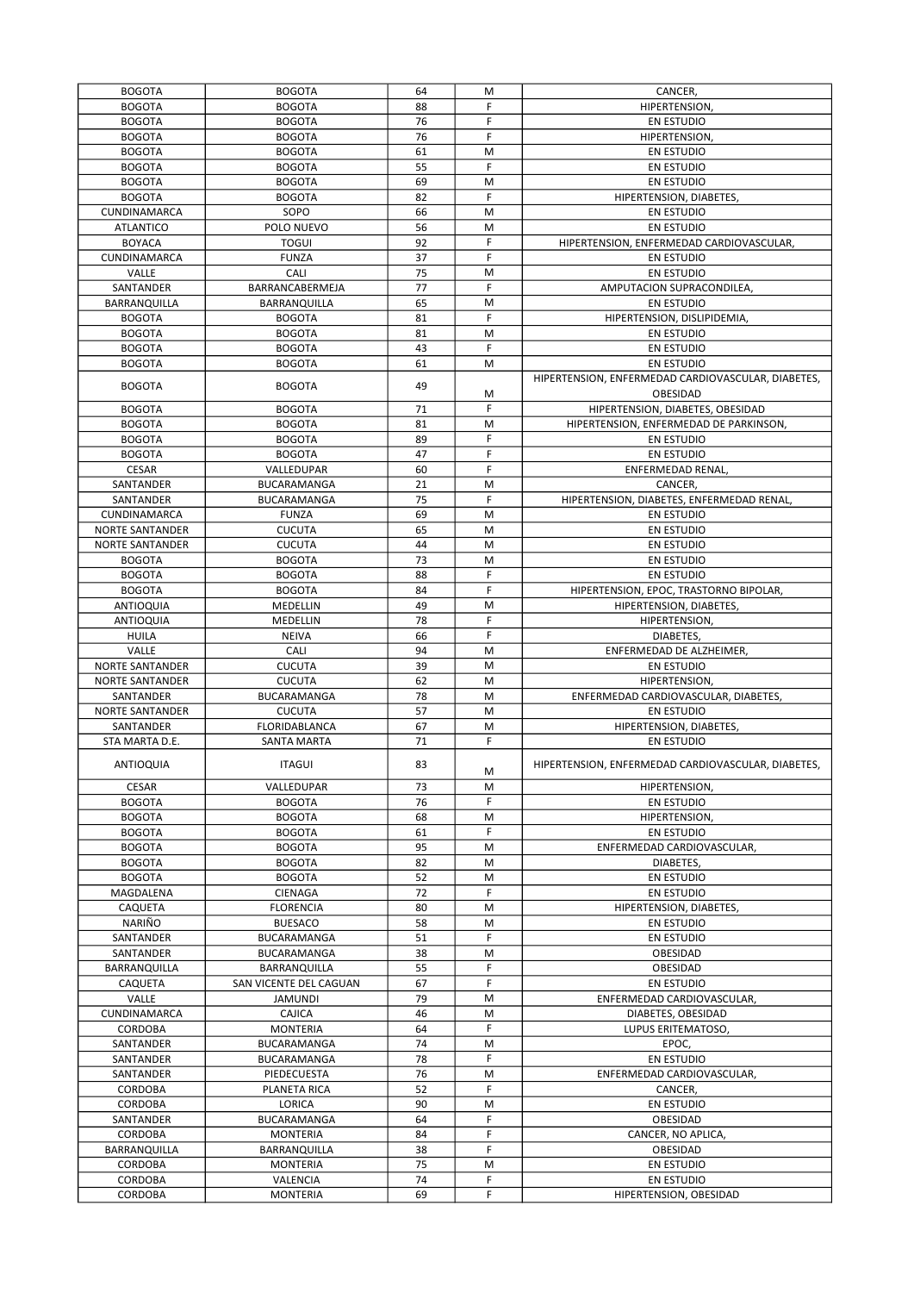| <b>BOGOTA</b>          | <b>BOGOTA</b>               | 64       | M      | CANCER,                                            |
|------------------------|-----------------------------|----------|--------|----------------------------------------------------|
| <b>BOGOTA</b>          | <b>BOGOTA</b>               | 88       | F      | HIPERTENSION,                                      |
| <b>BOGOTA</b>          | <b>BOGOTA</b>               | 76       | F      | EN ESTUDIO                                         |
| <b>BOGOTA</b>          | <b>BOGOTA</b>               | 76       | F      | HIPERTENSION,                                      |
|                        |                             |          |        |                                                    |
| <b>BOGOTA</b>          | <b>BOGOTA</b>               | 61       | M      | EN ESTUDIO                                         |
| <b>BOGOTA</b>          | <b>BOGOTA</b>               | 55       | F      | <b>EN ESTUDIO</b>                                  |
| <b>BOGOTA</b>          | <b>BOGOTA</b>               | 69       | M      | <b>EN ESTUDIO</b>                                  |
| <b>BOGOTA</b>          | <b>BOGOTA</b>               | 82       | F      | HIPERTENSION, DIABETES,                            |
| CUNDINAMARCA           | SOPO                        | 66       | M      | EN ESTUDIO                                         |
| <b>ATLANTICO</b>       | POLO NUEVO                  | 56       | M      | <b>EN ESTUDIO</b>                                  |
| <b>BOYACA</b>          | <b>TOGUI</b>                | 92       | F      | HIPERTENSION, ENFERMEDAD CARDIOVASCULAR,           |
|                        |                             |          |        |                                                    |
| CUNDINAMARCA           | <b>FUNZA</b>                | 37       | F      | <b>EN ESTUDIO</b>                                  |
| VALLE                  | CALI                        | 75       | M      | <b>EN ESTUDIO</b>                                  |
| SANTANDER              | BARRANCABERMEJA             | 77       | F      | AMPUTACION SUPRACONDILEA,                          |
| BARRANQUILLA           | BARRANQUILLA                | 65       | M      | <b>EN ESTUDIO</b>                                  |
| <b>BOGOTA</b>          | <b>BOGOTA</b>               | 81       | F      | HIPERTENSION, DISLIPIDEMIA,                        |
| <b>BOGOTA</b>          | <b>BOGOTA</b>               | 81       | M      | EN ESTUDIO                                         |
| <b>BOGOTA</b>          | <b>BOGOTA</b>               | 43       | F.     | <b>EN ESTUDIO</b>                                  |
|                        |                             |          |        |                                                    |
| <b>BOGOTA</b>          | <b>BOGOTA</b>               | 61       | M      | <b>EN ESTUDIO</b>                                  |
| <b>BOGOTA</b>          | <b>BOGOTA</b>               | 49       |        | HIPERTENSION, ENFERMEDAD CARDIOVASCULAR, DIABETES, |
|                        |                             |          | M      | OBESIDAD                                           |
| <b>BOGOTA</b>          | <b>BOGOTA</b>               | 71       | F      | HIPERTENSION, DIABETES, OBESIDAD                   |
| <b>BOGOTA</b>          | <b>BOGOTA</b>               | 81       | M      | HIPERTENSION, ENFERMEDAD DE PARKINSON,             |
| <b>BOGOTA</b>          | <b>BOGOTA</b>               | 89       | F      | EN ESTUDIO                                         |
|                        |                             |          | F.     | <b>EN ESTUDIO</b>                                  |
| <b>BOGOTA</b>          | <b>BOGOTA</b>               | 47       |        |                                                    |
| <b>CESAR</b>           | VALLEDUPAR                  | 60       | F      | ENFERMEDAD RENAL,                                  |
| SANTANDER              | BUCARAMANGA                 | 21       | M      | CANCER,                                            |
| SANTANDER              | BUCARAMANGA                 | 75       | F      | HIPERTENSION, DIABETES, ENFERMEDAD RENAL,          |
| CUNDINAMARCA           | <b>FUNZA</b>                | 69       | M      | <b>EN ESTUDIO</b>                                  |
| NORTE SANTANDER        | <b>CUCUTA</b>               | 65       | M      | EN ESTUDIO                                         |
| NORTE SANTANDER        | <b>CUCUTA</b>               | 44       | M      | EN ESTUDIO                                         |
|                        |                             |          |        |                                                    |
| <b>BOGOTA</b>          | <b>BOGOTA</b>               | 73       | M      | <b>EN ESTUDIO</b>                                  |
| <b>BOGOTA</b>          | <b>BOGOTA</b>               | 88       | F      | <b>EN ESTUDIO</b>                                  |
| <b>BOGOTA</b>          | <b>BOGOTA</b>               | 84       | F      | HIPERTENSION, EPOC, TRASTORNO BIPOLAR,             |
| ANTIOQUIA              | MEDELLIN                    | 49       | M      | HIPERTENSION, DIABETES,                            |
| <b>ANTIOQUIA</b>       | MEDELLIN                    | 78       | F      | HIPERTENSION,                                      |
| <b>HUILA</b>           | <b>NEIVA</b>                | 66       | F      | DIABETES,                                          |
| VALLE                  | CALI                        | 94       | M      | ENFERMEDAD DE ALZHEIMER,                           |
|                        |                             |          |        |                                                    |
| <b>NORTE SANTANDER</b> | <b>CUCUTA</b>               | 39       | M      | <b>EN ESTUDIO</b>                                  |
| NORTE SANTANDER        | <b>CUCUTA</b>               | 62       | M      | HIPERTENSION,                                      |
| SANTANDER              | BUCARAMANGA                 | 78       | M      | ENFERMEDAD CARDIOVASCULAR, DIABETES,               |
| NORTE SANTANDER        | <b>CUCUTA</b>               | 57       | M      | EN ESTUDIO                                         |
| SANTANDER              | FLORIDABLANCA               | 67       | M      | HIPERTENSION, DIABETES,                            |
| STA MARTA D.E.         | SANTA MARTA                 | 71       | F.     | <b>EN ESTUDIO</b>                                  |
|                        |                             |          |        |                                                    |
| ANTIOQUIA              |                             |          |        |                                                    |
|                        | <b>ITAGUI</b>               | 83       |        | HIPERTENSION, ENFERMEDAD CARDIOVASCULAR, DIABETES, |
|                        |                             |          | M      |                                                    |
| <b>CESAR</b>           | VALLEDUPAR                  | 73       | м      | HIPERTENSION,                                      |
| <b>BOGOTA</b>          | <b>BOGOTA</b>               | 76       | F      | EN ESTUDIO                                         |
| <b>BOGOTA</b>          | <b>BOGOTA</b>               | 68       | M      | HIPERTENSION,                                      |
|                        |                             |          |        |                                                    |
| <b>BOGOTA</b>          | <b>BOGOTA</b>               | 61       | F      | EN ESTUDIO                                         |
| <b>BOGOTA</b>          | <b>BOGOTA</b>               | 95       | M      | ENFERMEDAD CARDIOVASCULAR,                         |
| <b>BOGOTA</b>          | <b>BOGOTA</b>               | 82       | M      | DIABETES.                                          |
| <b>BOGOTA</b>          | <b>BOGOTA</b>               | 52       | M      | EN ESTUDIO                                         |
| MAGDALENA              | CIENAGA                     | 72       | F      | EN ESTUDIO                                         |
| CAQUETA                | <b>FLORENCIA</b>            | 80       | M      | HIPERTENSION, DIABETES,                            |
| NARIÑO                 | <b>BUESACO</b>              | 58       | M      | <b>EN ESTUDIO</b>                                  |
|                        |                             |          | F      |                                                    |
| SANTANDER              | BUCARAMANGA                 | 51       |        | <b>EN ESTUDIO</b>                                  |
| SANTANDER              | BUCARAMANGA                 | 38       | M      | OBESIDAD                                           |
| BARRANQUILLA           | BARRANQUILLA                | 55       | F      | OBESIDAD                                           |
| CAQUETA                | SAN VICENTE DEL CAGUAN      | 67       | F.     | <b>EN ESTUDIO</b>                                  |
| VALLE                  | <b>JAMUNDI</b>              | 79       | M      | ENFERMEDAD CARDIOVASCULAR,                         |
| CUNDINAMARCA           | CAJICA                      | 46       | M      | DIABETES, OBESIDAD                                 |
| CORDOBA                | <b>MONTERIA</b>             | 64       | F.     | LUPUS ERITEMATOSO,                                 |
|                        |                             |          |        |                                                    |
| SANTANDER              | BUCARAMANGA                 | 74       | M      | EPOC,                                              |
| SANTANDER              | BUCARAMANGA                 | 78       | F      | EN ESTUDIO                                         |
| SANTANDER              | PIEDECUESTA                 | 76       | M      | ENFERMEDAD CARDIOVASCULAR,                         |
| CORDOBA                | PLANETA RICA                | 52       | F      | CANCER,                                            |
| CORDOBA                | LORICA                      | 90       | M      | EN ESTUDIO                                         |
| SANTANDER              | BUCARAMANGA                 | 64       | F      | OBESIDAD                                           |
| CORDOBA                | <b>MONTERIA</b>             | 84       | F      | CANCER, NO APLICA,                                 |
|                        |                             |          | F.     |                                                    |
| BARRANQUILLA           | BARRANQUILLA                | 38       |        | OBESIDAD                                           |
| CORDOBA                | <b>MONTERIA</b>             | 75       | M      | EN ESTUDIO                                         |
| CORDOBA<br>CORDOBA     | VALENCIA<br><b>MONTERIA</b> | 74<br>69 | F<br>F | EN ESTUDIO<br>HIPERTENSION, OBESIDAD               |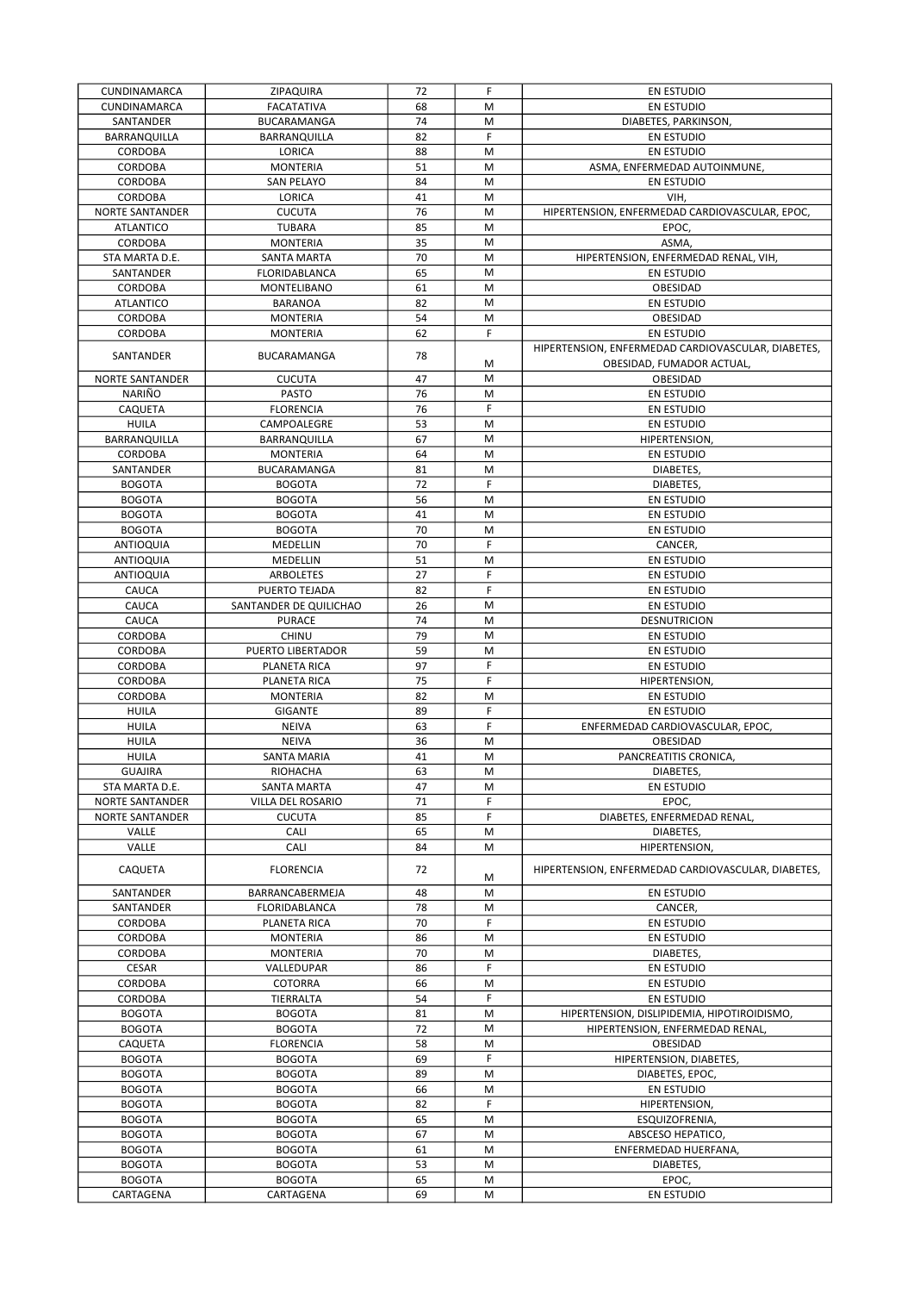| CUNDINAMARCA           | ZIPAQUIRA              | 72 | F         | EN ESTUDIO                                         |
|------------------------|------------------------|----|-----------|----------------------------------------------------|
| CUNDINAMARCA           | <b>FACATATIVA</b>      | 68 | M         | <b>EN ESTUDIO</b>                                  |
| SANTANDER              | BUCARAMANGA            | 74 | M         | DIABETES, PARKINSON,                               |
| BARRANQUILLA           | BARRANQUILLA           | 82 | F         | <b>EN ESTUDIO</b>                                  |
| CORDOBA                | LORICA                 | 88 | M         | EN ESTUDIO                                         |
| CORDOBA                | <b>MONTERIA</b>        | 51 | M         | ASMA, ENFERMEDAD AUTOINMUNE,                       |
| CORDOBA                | <b>SAN PELAYO</b>      | 84 | M         | <b>EN ESTUDIO</b>                                  |
| <b>CORDOBA</b>         | LORICA                 | 41 | M         | VIH,                                               |
| <b>NORTE SANTANDER</b> | <b>CUCUTA</b>          | 76 | M         | HIPERTENSION, ENFERMEDAD CARDIOVASCULAR, EPOC,     |
| <b>ATLANTICO</b>       | <b>TUBARA</b>          | 85 | M         | EPOC,                                              |
| CORDOBA                | <b>MONTERIA</b>        | 35 | M         | ASMA,                                              |
|                        |                        | 70 | M         |                                                    |
| STA MARTA D.E.         | SANTA MARTA            |    |           | HIPERTENSION, ENFERMEDAD RENAL, VIH,               |
| SANTANDER              | FLORIDABLANCA          | 65 | M         | EN ESTUDIO                                         |
| CORDOBA                | <b>MONTELIBANO</b>     | 61 | M         | OBESIDAD                                           |
| <b>ATLANTICO</b>       | <b>BARANOA</b>         | 82 | M         | <b>EN ESTUDIO</b>                                  |
| CORDOBA                | <b>MONTERIA</b>        | 54 | M         | OBESIDAD                                           |
| CORDOBA                | <b>MONTERIA</b>        | 62 | F         | EN ESTUDIO                                         |
| SANTANDER              | BUCARAMANGA            | 78 |           | HIPERTENSION, ENFERMEDAD CARDIOVASCULAR, DIABETES, |
|                        |                        |    | M         | OBESIDAD, FUMADOR ACTUAL,                          |
| NORTE SANTANDER        | <b>CUCUTA</b>          | 47 | M         | OBESIDAD                                           |
| NARIÑO                 | <b>PASTO</b>           | 76 | M         | <b>EN ESTUDIO</b>                                  |
| CAQUETA                | <b>FLORENCIA</b>       | 76 | F         | EN ESTUDIO                                         |
| <b>HUILA</b>           | CAMPOALEGRE            | 53 | M         | <b>EN ESTUDIO</b>                                  |
| BARRANQUILLA           | BARRANQUILLA           | 67 | M         | <b>HIPERTENSION</b>                                |
| <b>CORDOBA</b>         | <b>MONTERIA</b>        | 64 | M         | <b>EN ESTUDIO</b>                                  |
| SANTANDER              | BUCARAMANGA            | 81 | M         | DIABETES,                                          |
| <b>BOGOTA</b>          | <b>BOGOTA</b>          | 72 | F         | DIABETES,                                          |
| <b>BOGOTA</b>          | <b>BOGOTA</b>          | 56 | M         | <b>EN ESTUDIO</b>                                  |
| <b>BOGOTA</b>          | <b>BOGOTA</b>          | 41 | M         | EN ESTUDIO                                         |
| <b>BOGOTA</b>          | <b>BOGOTA</b>          | 70 | M         | <b>EN ESTUDIO</b>                                  |
|                        | MEDELLIN               | 70 | F         |                                                    |
| ANTIOQUIA              |                        | 51 | M         | CANCER,                                            |
| ANTIOQUIA              | MEDELLIN               |    |           | EN ESTUDIO                                         |
| ANTIOQUIA              | ARBOLETES              | 27 | F         | EN ESTUDIO                                         |
| <b>CAUCA</b>           | PUERTO TEJADA          | 82 | F         | EN ESTUDIO                                         |
| CAUCA                  | SANTANDER DE QUILICHAO | 26 | M         | <b>EN ESTUDIO</b>                                  |
| CAUCA                  | <b>PURACE</b>          | 74 | M         | DESNUTRICION                                       |
| CORDOBA                | <b>CHINU</b>           | 79 | M         | EN ESTUDIO                                         |
| CORDOBA                | PUERTO LIBERTADOR      | 59 | M         | EN ESTUDIO                                         |
| <b>CORDOBA</b>         | PLANETA RICA           | 97 | F         | <b>EN ESTUDIO</b>                                  |
| CORDOBA                | PLANETA RICA           | 75 | F         | HIPERTENSION,                                      |
| CORDOBA                | <b>MONTERIA</b>        | 82 | M         | EN ESTUDIO                                         |
| <b>HUILA</b>           | GIGANTE                | 89 | F         | <b>EN ESTUDIO</b>                                  |
| <b>HUILA</b>           | <b>NEIVA</b>           | 63 | F         | ENFERMEDAD CARDIOVASCULAR, EPOC,                   |
| <b>HUILA</b>           | <b>NEIVA</b>           | 36 | M         | OBESIDAD                                           |
| <b>HUILA</b>           | SANTA MARIA            | 41 | M         | PANCREATITIS CRONICA,                              |
| GUAJIRA                | RIOHACHA               | 63 | ${\sf M}$ | DIABETES,                                          |
| STA MARTA D.E.         | SANTA MARTA            | 47 | M         | EN ESTUDIO                                         |
| NORTE SANTANDER        | VILLA DEL ROSARIO      | 71 | F         | EPOC,                                              |
| <b>NORTE SANTANDER</b> | <b>CUCUTA</b>          | 85 | F         | DIABETES, ENFERMEDAD RENAL,                        |
| VALLE                  | CALI                   | 65 | M         | DIABETES,                                          |
| VALLE                  | CALI                   | 84 | M         | HIPERTENSION,                                      |
|                        |                        |    |           |                                                    |
| CAQUETA                | <b>FLORENCIA</b>       | 72 | M         | HIPERTENSION, ENFERMEDAD CARDIOVASCULAR, DIABETES. |
| SANTANDER              | BARRANCABERMEJA        | 48 | M         | EN ESTUDIO                                         |
| SANTANDER              | <b>FLORIDABLANCA</b>   | 78 | M         | CANCER,                                            |
|                        |                        |    | F         |                                                    |
| CORDOBA                | PLANETA RICA           | 70 |           | EN ESTUDIO                                         |
| CORDOBA                | <b>MONTERIA</b>        | 86 | M         | EN ESTUDIO                                         |
| CORDOBA                | <b>MONTERIA</b>        | 70 | M         | DIABETES,                                          |
| CESAR                  | VALLEDUPAR             | 86 | F         | EN ESTUDIO                                         |
| CORDOBA                | COTORRA                | 66 | M         | EN ESTUDIO                                         |
| CORDOBA                | TIERRALTA              | 54 | F         | EN ESTUDIO                                         |
| <b>BOGOTA</b>          | <b>BOGOTA</b>          | 81 | M         | HIPERTENSION, DISLIPIDEMIA, HIPOTIROIDISMO,        |
| <b>BOGOTA</b>          | <b>BOGOTA</b>          | 72 | M         | HIPERTENSION, ENFERMEDAD RENAL,                    |
| CAQUETA                | <b>FLORENCIA</b>       | 58 | M         | OBESIDAD                                           |
| <b>BOGOTA</b>          | <b>BOGOTA</b>          | 69 | F         | HIPERTENSION, DIABETES,                            |
| <b>BOGOTA</b>          | <b>BOGOTA</b>          | 89 | M         | DIABETES, EPOC,                                    |
| <b>BOGOTA</b>          | <b>BOGOTA</b>          | 66 | M         | EN ESTUDIO                                         |
| <b>BOGOTA</b>          | <b>BOGOTA</b>          | 82 | F         | HIPERTENSION,                                      |
| <b>BOGOTA</b>          | <b>BOGOTA</b>          | 65 | M         | ESQUIZOFRENIA,                                     |
| <b>BOGOTA</b>          | <b>BOGOTA</b>          | 67 | M         | ABSCESO HEPATICO,                                  |
| <b>BOGOTA</b>          | <b>BOGOTA</b>          | 61 | M         | ENFERMEDAD HUERFANA,                               |
| <b>BOGOTA</b>          | <b>BOGOTA</b>          | 53 | M         | DIABETES,                                          |
| <b>BOGOTA</b>          | <b>BOGOTA</b>          | 65 | M         | EPOC,                                              |
|                        |                        |    | M         |                                                    |
| CARTAGENA              | CARTAGENA              | 69 |           | EN ESTUDIO                                         |